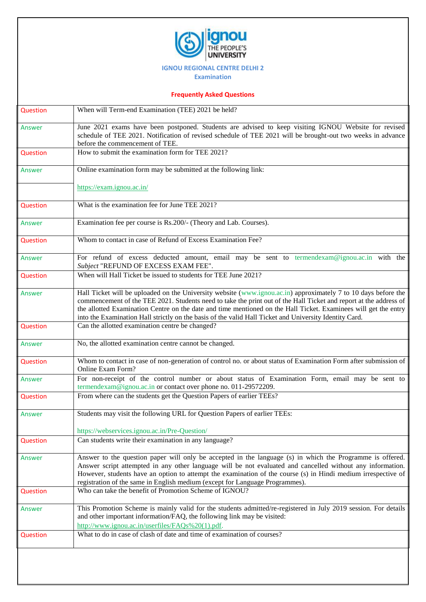

## **IGNOU REGIONAL CENTRE DELHI 2**

**Examination**

## **Frequently Asked Questions**

| Question | When will Term-end Examination (TEE) 2021 be held?                                                                                                                                                                                                                                                                                                                                                                                                               |
|----------|------------------------------------------------------------------------------------------------------------------------------------------------------------------------------------------------------------------------------------------------------------------------------------------------------------------------------------------------------------------------------------------------------------------------------------------------------------------|
| Answer   | June 2021 exams have been postponed. Students are advised to keep visiting IGNOU Website for revised<br>schedule of TEE 2021. Notification of revised schedule of TEE 2021 will be brought-out two weeks in advance<br>before the commencement of TEE.                                                                                                                                                                                                           |
| Question | How to submit the examination form for TEE 2021?                                                                                                                                                                                                                                                                                                                                                                                                                 |
| Answer   | Online examination form may be submitted at the following link:                                                                                                                                                                                                                                                                                                                                                                                                  |
|          | https://exam.ignou.ac.in/                                                                                                                                                                                                                                                                                                                                                                                                                                        |
| Question | What is the examination fee for June TEE 2021?                                                                                                                                                                                                                                                                                                                                                                                                                   |
| Answer   | Examination fee per course is Rs.200/- (Theory and Lab. Courses).                                                                                                                                                                                                                                                                                                                                                                                                |
| Question | Whom to contact in case of Refund of Excess Examination Fee?                                                                                                                                                                                                                                                                                                                                                                                                     |
| Answer   | For refund of excess deducted amount, email may be sent to termendexam@ignou.ac.in with the<br>Subject "REFUND OF EXCESS EXAM FEE".                                                                                                                                                                                                                                                                                                                              |
| Question | When will Hall Ticket be issued to students for TEE June 2021?                                                                                                                                                                                                                                                                                                                                                                                                   |
| Answer   | Hall Ticket will be uploaded on the University website (www.ignou.ac.in) approximately 7 to 10 days before the<br>commencement of the TEE 2021. Students need to take the print out of the Hall Ticket and report at the address of<br>the allotted Examination Centre on the date and time mentioned on the Hall Ticket. Examinees will get the entry<br>into the Examination Hall strictly on the basis of the valid Hall Ticket and University Identity Card. |
| Question | Can the allotted examination centre be changed?                                                                                                                                                                                                                                                                                                                                                                                                                  |
| Answer   | No, the allotted examination centre cannot be changed.                                                                                                                                                                                                                                                                                                                                                                                                           |
| Question | Whom to contact in case of non-generation of control no. or about status of Examination Form after submission of<br><b>Online Exam Form?</b>                                                                                                                                                                                                                                                                                                                     |
| Answer   | For non-receipt of the control number or about status of Examination Form, email may be sent to<br>termendexam@ignou.ac.in or contact over phone no. 011-29572209.                                                                                                                                                                                                                                                                                               |
| Question | From where can the students get the Question Papers of earlier TEEs?                                                                                                                                                                                                                                                                                                                                                                                             |
| Answer   | Students may visit the following URL for Question Papers of earlier TEEs:                                                                                                                                                                                                                                                                                                                                                                                        |
|          | https://webservices.ignou.ac.in/Pre-Question/                                                                                                                                                                                                                                                                                                                                                                                                                    |
| Question | Can students write their examination in any language?                                                                                                                                                                                                                                                                                                                                                                                                            |
| Answer   | Answer to the question paper will only be accepted in the language (s) in which the Programme is offered.<br>Answer script attempted in any other language will be not evaluated and cancelled without any information.<br>However, students have an option to attempt the examination of the course (s) in Hindi medium irrespective of<br>registration of the same in English medium (except for Language Programmes).                                         |
| Question | Who can take the benefit of Promotion Scheme of IGNOU?                                                                                                                                                                                                                                                                                                                                                                                                           |
| Answer   | This Promotion Scheme is mainly valid for the students admitted/re-registered in July 2019 session. For details<br>and other important information/FAQ, the following link may be visited:<br>http://www.ignou.ac.in/userfiles/FAQs%20(1).pdf.                                                                                                                                                                                                                   |
| Question | What to do in case of clash of date and time of examination of courses?                                                                                                                                                                                                                                                                                                                                                                                          |
|          |                                                                                                                                                                                                                                                                                                                                                                                                                                                                  |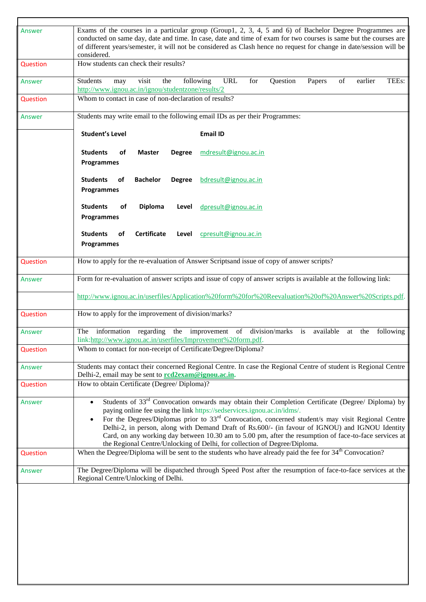| Answer   | Exams of the courses in a particular group (Group1, 2, 3, 4, 5 and 6) of Bachelor Degree Programmes are<br>conducted on same day, date and time. In case, date and time of exam for two courses is same but the courses are<br>of different years/semester, it will not be considered as Clash hence no request for change in date/session will be<br>considered.                                                                                                                                                                                                                         |
|----------|-------------------------------------------------------------------------------------------------------------------------------------------------------------------------------------------------------------------------------------------------------------------------------------------------------------------------------------------------------------------------------------------------------------------------------------------------------------------------------------------------------------------------------------------------------------------------------------------|
| Question | How students can check their results?                                                                                                                                                                                                                                                                                                                                                                                                                                                                                                                                                     |
| Answer   | <b>URL</b><br>Students<br>visit<br>the<br>following<br>for<br>Question<br>of<br>earlier<br>TEEs:<br>Papers<br>may<br>http://www.ignou.ac.in/ignou/studentzone/results/2                                                                                                                                                                                                                                                                                                                                                                                                                   |
| Question | Whom to contact in case of non-declaration of results?                                                                                                                                                                                                                                                                                                                                                                                                                                                                                                                                    |
| Answer   | Students may write email to the following email IDs as per their Programmes:                                                                                                                                                                                                                                                                                                                                                                                                                                                                                                              |
|          | <b>Student's Level</b><br><b>Email ID</b>                                                                                                                                                                                                                                                                                                                                                                                                                                                                                                                                                 |
|          | <b>Students</b><br>οf<br><b>Master</b><br><b>Degree</b><br>mdresult@ignou.ac.in<br><b>Programmes</b>                                                                                                                                                                                                                                                                                                                                                                                                                                                                                      |
|          | <b>Students</b><br><b>Bachelor</b><br>οf<br><b>Degree</b><br>bdresult@ignou.ac.in<br><b>Programmes</b>                                                                                                                                                                                                                                                                                                                                                                                                                                                                                    |
|          | <b>Students</b><br><b>Diploma</b><br>of<br>Level<br>dpresult@ignou.ac.in<br><b>Programmes</b>                                                                                                                                                                                                                                                                                                                                                                                                                                                                                             |
|          | <b>Students</b><br>Certificate<br>of<br>Level<br>cpresult@ignou.ac.in<br>Programmes                                                                                                                                                                                                                                                                                                                                                                                                                                                                                                       |
| Question | How to apply for the re-evaluation of Answer Scriptsand issue of copy of answer scripts?                                                                                                                                                                                                                                                                                                                                                                                                                                                                                                  |
| Answer   | Form for re-evaluation of answer scripts and issue of copy of answer scripts is available at the following link:                                                                                                                                                                                                                                                                                                                                                                                                                                                                          |
|          | http://www.ignou.ac.in/userfiles/Application%20form%20for%20Reevaluation%20of%20Answer%20Scripts.pdf.                                                                                                                                                                                                                                                                                                                                                                                                                                                                                     |
| Question | How to apply for the improvement of division/marks?                                                                                                                                                                                                                                                                                                                                                                                                                                                                                                                                       |
| Answer   | the improvement of division/marks is available at<br>The information regarding<br>the<br>following<br>link:http://www.ignou.ac.in/userfiles/Improvement%20form.pdf.                                                                                                                                                                                                                                                                                                                                                                                                                       |
| Question | Whom to contact for non-receipt of Certificate/Degree/Diploma?                                                                                                                                                                                                                                                                                                                                                                                                                                                                                                                            |
| Answer   | Students may contact their concerned Regional Centre. In case the Regional Centre of student is Regional Centre<br>Delhi-2, email may be sent to rcd2exam@ignou.ac.in.                                                                                                                                                                                                                                                                                                                                                                                                                    |
| Question | How to obtain Certificate (Degree/ Diploma)?                                                                                                                                                                                                                                                                                                                                                                                                                                                                                                                                              |
| Answer   | Students of 33 <sup>rd</sup> Convocation onwards may obtain their Completion Certificate (Degree/ Diploma) by<br>paying online fee using the link https://sedservices.ignou.ac.in/idms/.<br>For the Degrees/Diplomas prior to $33rd$ Convocation, concerned student/s may visit Regional Centre<br>Delhi-2, in person, along with Demand Draft of Rs.600/- (in favour of IGNOU) and IGNOU Identity<br>Card, on any working day between 10.30 am to 5.00 pm, after the resumption of face-to-face services at<br>the Regional Centre/Unlocking of Delhi, for collection of Degree/Diploma. |
| Question | When the Degree/Diploma will be sent to the students who have already paid the fee for $34th$ Convocation?                                                                                                                                                                                                                                                                                                                                                                                                                                                                                |
| Answer   | The Degree/Diploma will be dispatched through Speed Post after the resumption of face-to-face services at the<br>Regional Centre/Unlocking of Delhi.                                                                                                                                                                                                                                                                                                                                                                                                                                      |